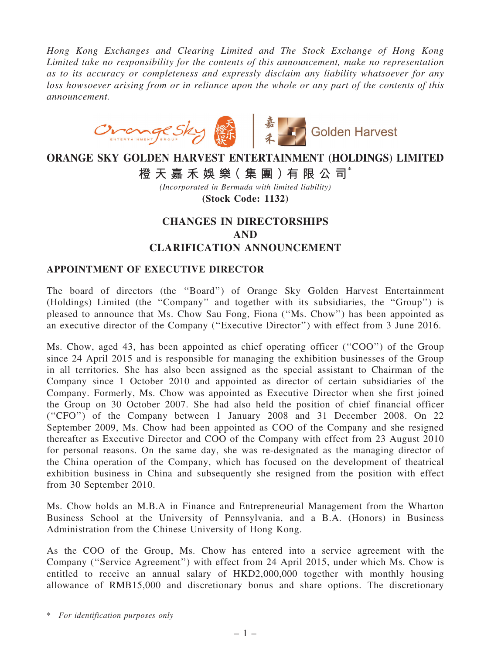Hong Kong Exchanges and Clearing Limited and The Stock Exchange of Hong Kong Limited take no responsibility for the contents of this announcement, make no representation as to its accuracy or completeness and expressly disclaim any liability whatsoever for any loss howsoever arising from or in reliance upon the whole or any part of the contents of this announcement.



# ORANGE SKY GOLDEN HARVEST ENTERTAINMENT (HOLDINGS) LIMITED 橙 天 嘉 禾 娛 樂 (集 團 ) 有 限 公 司 $^*$

(Incorporated in Bermuda with limited liability) (Stock Code: 1132)

## CHANGES IN DIRECTORSHIPS AND CLARIFICATION ANNOUNCEMENT

#### APPOINTMENT OF EXECUTIVE DIRECTOR

The board of directors (the ''Board'') of Orange Sky Golden Harvest Entertainment (Holdings) Limited (the ''Company'' and together with its subsidiaries, the ''Group'') is pleased to announce that Ms. Chow Sau Fong, Fiona (''Ms. Chow'') has been appointed as an executive director of the Company (''Executive Director'') with effect from 3 June 2016.

Ms. Chow, aged 43, has been appointed as chief operating officer (''COO'') of the Group since 24 April 2015 and is responsible for managing the exhibition businesses of the Group in all territories. She has also been assigned as the special assistant to Chairman of the Company since 1 October 2010 and appointed as director of certain subsidiaries of the Company. Formerly, Ms. Chow was appointed as Executive Director when she first joined the Group on 30 October 2007. She had also held the position of chief financial officer (''CFO'') of the Company between 1 January 2008 and 31 December 2008. On 22 September 2009, Ms. Chow had been appointed as COO of the Company and she resigned thereafter as Executive Director and COO of the Company with effect from 23 August 2010 for personal reasons. On the same day, she was re-designated as the managing director of the China operation of the Company, which has focused on the development of theatrical exhibition business in China and subsequently she resigned from the position with effect from 30 September 2010.

Ms. Chow holds an M.B.A in Finance and Entrepreneurial Management from the Wharton Business School at the University of Pennsylvania, and a B.A. (Honors) in Business Administration from the Chinese University of Hong Kong.

As the COO of the Group, Ms. Chow has entered into a service agreement with the Company (''Service Agreement'') with effect from 24 April 2015, under which Ms. Chow is entitled to receive an annual salary of HKD2,000,000 together with monthly housing allowance of RMB15,000 and discretionary bonus and share options. The discretionary

\* For identification purposes only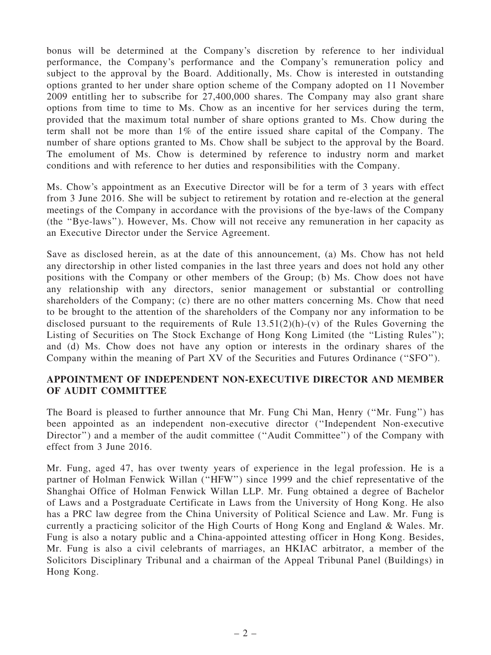bonus will be determined at the Company's discretion by reference to her individual performance, the Company's performance and the Company's remuneration policy and subject to the approval by the Board. Additionally, Ms. Chow is interested in outstanding options granted to her under share option scheme of the Company adopted on 11 November 2009 entitling her to subscribe for 27,400,000 shares. The Company may also grant share options from time to time to Ms. Chow as an incentive for her services during the term, provided that the maximum total number of share options granted to Ms. Chow during the term shall not be more than 1% of the entire issued share capital of the Company. The number of share options granted to Ms. Chow shall be subject to the approval by the Board. The emolument of Ms. Chow is determined by reference to industry norm and market conditions and with reference to her duties and responsibilities with the Company.

Ms. Chow's appointment as an Executive Director will be for a term of 3 years with effect from 3 June 2016. She will be subject to retirement by rotation and re-election at the general meetings of the Company in accordance with the provisions of the bye-laws of the Company (the ''Bye-laws''). However, Ms. Chow will not receive any remuneration in her capacity as an Executive Director under the Service Agreement.

Save as disclosed herein, as at the date of this announcement, (a) Ms. Chow has not held any directorship in other listed companies in the last three years and does not hold any other positions with the Company or other members of the Group; (b) Ms. Chow does not have any relationship with any directors, senior management or substantial or controlling shareholders of the Company; (c) there are no other matters concerning Ms. Chow that need to be brought to the attention of the shareholders of the Company nor any information to be disclosed pursuant to the requirements of Rule  $13.51(2)(h)-(v)$  of the Rules Governing the Listing of Securities on The Stock Exchange of Hong Kong Limited (the ''Listing Rules''); and (d) Ms. Chow does not have any option or interests in the ordinary shares of the Company within the meaning of Part XV of the Securities and Futures Ordinance (''SFO'').

#### APPOINTMENT OF INDEPENDENT NON-EXECUTIVE DIRECTOR AND MEMBER OF AUDIT COMMITTEE

The Board is pleased to further announce that Mr. Fung Chi Man, Henry (''Mr. Fung'') has been appointed as an independent non-executive director (''Independent Non-executive Director") and a member of the audit committee ("Audit Committee") of the Company with effect from 3 June 2016.

Mr. Fung, aged 47, has over twenty years of experience in the legal profession. He is a partner of Holman Fenwick Willan (''HFW'') since 1999 and the chief representative of the Shanghai Office of Holman Fenwick Willan LLP. Mr. Fung obtained a degree of Bachelor of Laws and a Postgraduate Certificate in Laws from the University of Hong Kong. He also has a PRC law degree from the China University of Political Science and Law. Mr. Fung is currently a practicing solicitor of the High Courts of Hong Kong and England & Wales. Mr. Fung is also a notary public and a China-appointed attesting officer in Hong Kong. Besides, Mr. Fung is also a civil celebrants of marriages, an HKIAC arbitrator, a member of the Solicitors Disciplinary Tribunal and a chairman of the Appeal Tribunal Panel (Buildings) in Hong Kong.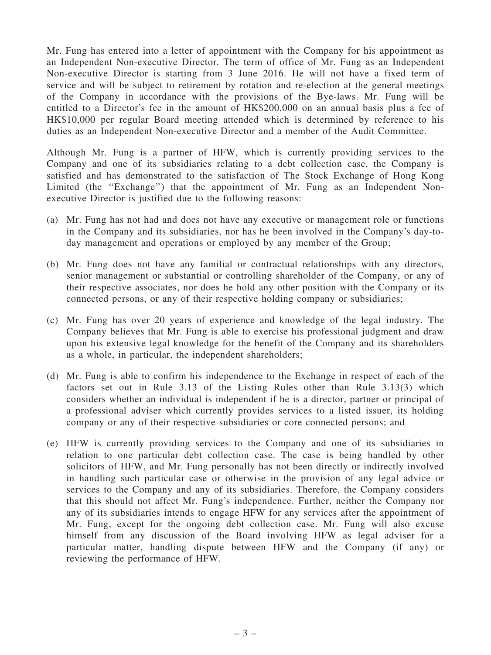Mr. Fung has entered into a letter of appointment with the Company for his appointment as an Independent Non-executive Director. The term of office of Mr. Fung as an Independent Non-executive Director is starting from 3 June 2016. He will not have a fixed term of service and will be subject to retirement by rotation and re-election at the general meetings of the Company in accordance with the provisions of the Bye-laws. Mr. Fung will be entitled to a Director's fee in the amount of HK\$200,000 on an annual basis plus a fee of HK\$10,000 per regular Board meeting attended which is determined by reference to his duties as an Independent Non-executive Director and a member of the Audit Committee.

Although Mr. Fung is a partner of HFW, which is currently providing services to the Company and one of its subsidiaries relating to a debt collection case, the Company is satisfied and has demonstrated to the satisfaction of The Stock Exchange of Hong Kong Limited (the "Exchange") that the appointment of Mr. Fung as an Independent Nonexecutive Director is justified due to the following reasons:

- (a) Mr. Fung has not had and does not have any executive or management role or functions in the Company and its subsidiaries, nor has he been involved in the Company's day-today management and operations or employed by any member of the Group;
- (b) Mr. Fung does not have any familial or contractual relationships with any directors, senior management or substantial or controlling shareholder of the Company, or any of their respective associates, nor does he hold any other position with the Company or its connected persons, or any of their respective holding company or subsidiaries;
- (c) Mr. Fung has over 20 years of experience and knowledge of the legal industry. The Company believes that Mr. Fung is able to exercise his professional judgment and draw upon his extensive legal knowledge for the benefit of the Company and its shareholders as a whole, in particular, the independent shareholders;
- (d) Mr. Fung is able to confirm his independence to the Exchange in respect of each of the factors set out in Rule 3.13 of the Listing Rules other than Rule 3.13(3) which considers whether an individual is independent if he is a director, partner or principal of a professional adviser which currently provides services to a listed issuer, its holding company or any of their respective subsidiaries or core connected persons; and
- (e) HFW is currently providing services to the Company and one of its subsidiaries in relation to one particular debt collection case. The case is being handled by other solicitors of HFW, and Mr. Fung personally has not been directly or indirectly involved in handling such particular case or otherwise in the provision of any legal advice or services to the Company and any of its subsidiaries. Therefore, the Company considers that this should not affect Mr. Fung's independence. Further, neither the Company nor any of its subsidiaries intends to engage HFW for any services after the appointment of Mr. Fung, except for the ongoing debt collection case. Mr. Fung will also excuse himself from any discussion of the Board involving HFW as legal adviser for a particular matter, handling dispute between HFW and the Company (if any) or reviewing the performance of HFW.